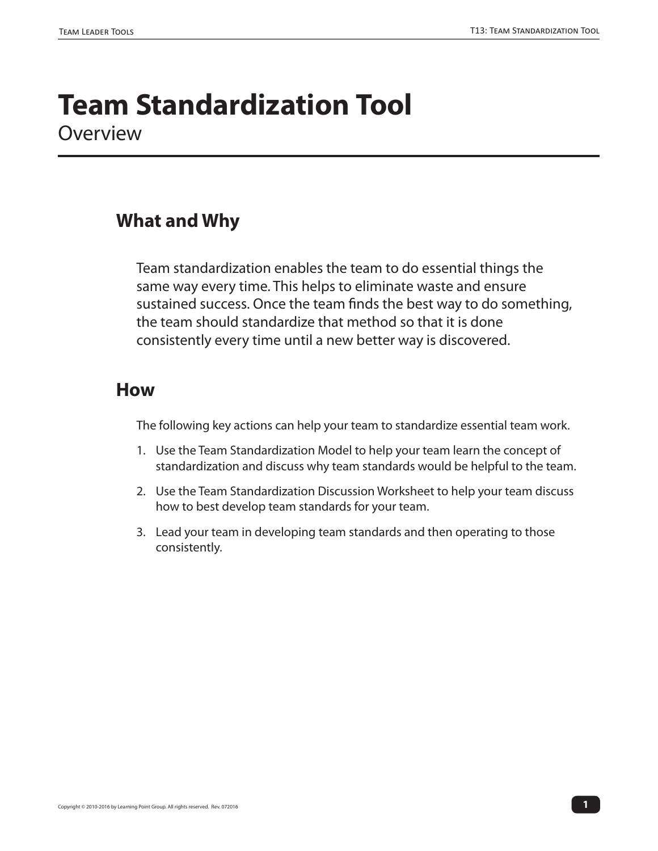# **Team Standardization Tool** Overview

## **What and Why**

Team standardization enables the team to do essential things the same way every time. This helps to eliminate waste and ensure sustained success. Once the team finds the best way to do something, the team should standardize that method so that it is done consistently every time until a new better way is discovered.

### **How**

The following key actions can help your team to standardize essential team work.

- 1. Use the Team Standardization Model to help your team learn the concept of standardization and discuss why team standards would be helpful to the team.
- 2. Use the Team Standardization Discussion Worksheet to help your team discuss how to best develop team standards for your team.
- 3. Lead your team in developing team standards and then operating to those consistently.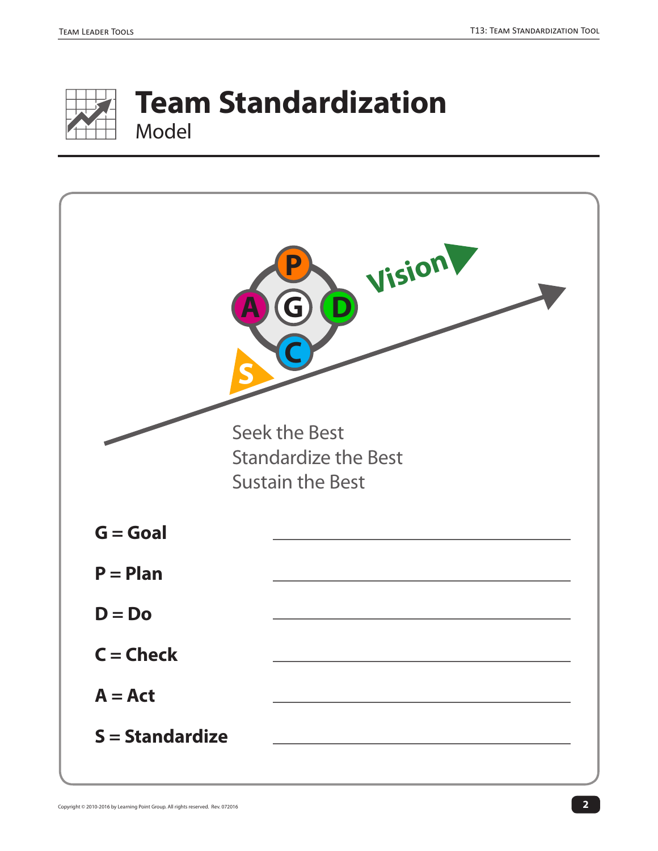

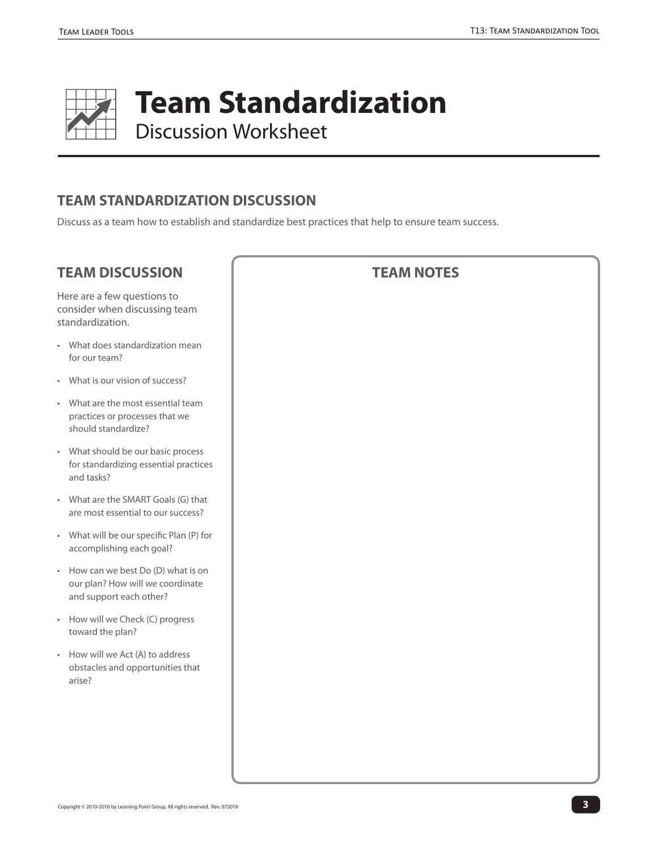

**Team Standardization**  Discussion Worksheet

#### **TEAM STANDARDIZATION DISCUSSION**

Discuss as a team how to establish and standardize best practices that help to ensure team success.

#### **TEAM DISCUSSION**

Here are a few questions to consider when discussing team standardization.

- What does standardization mean for our team?
- What is our vision of success?
- What are the most essential team practices or processes that we should standardize?
- What should be our basic process for standardizing essential practices and tasks?
- What are the SMART Goals (G) that are most essential to our success?
- What will be our specific Plan (P) for accomplishing each goal?
- How can we best Do (D) what is on our plan? How will we coordinate and support each other?
- How will we Check (C) progress toward the plan?
- How will we Act (A) to address obstacles and opportunities that arise?

#### **TEAM NOTES**